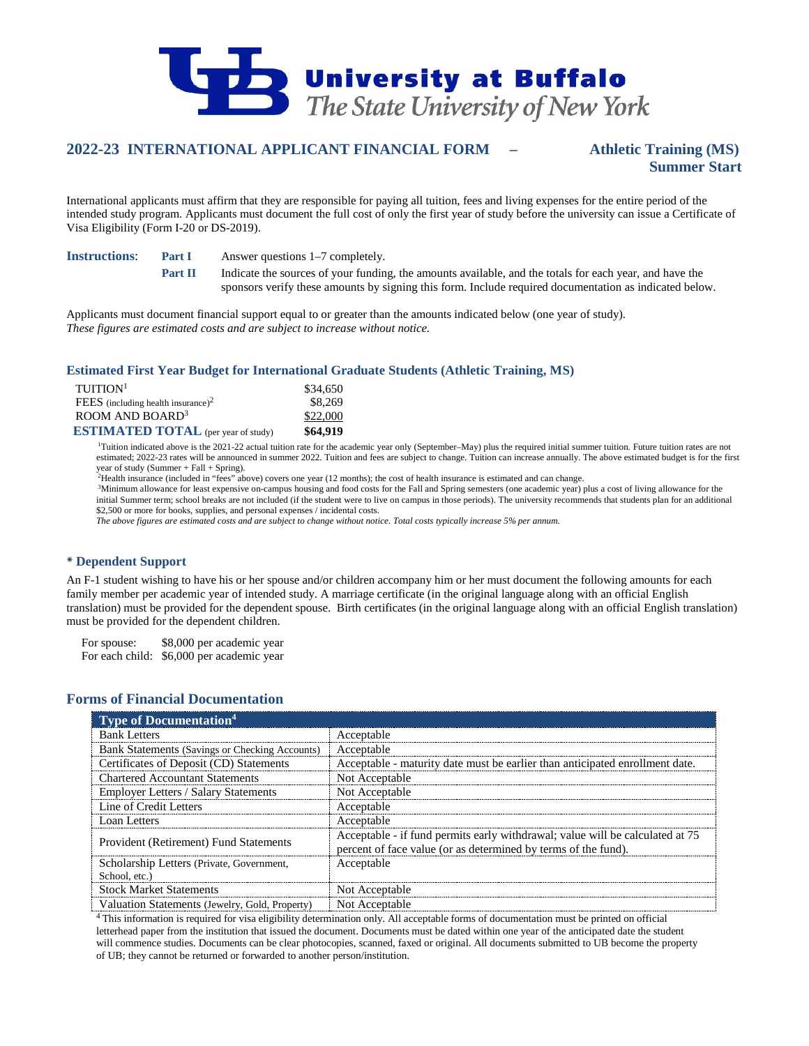

# **2022-23 INTERNATIONAL APPLICANT FINANCIAL FORM – Athletic Training (MS)**

**Summer Start**

International applicants must affirm that they are responsible for paying all tuition, fees and living expenses for the entire period of the intended study program. Applicants must document the full cost of only the first year of study before the university can issue a Certificate of Visa Eligibility (Form I-20 or DS-2019).

**Instructions**: **Part I** Answer questions 1–7 completely.

**Part II** Indicate the sources of your funding, the amounts available, and the totals for each year, and have the sponsors verify these amounts by signing this form. Include required documentation as indicated below.

Applicants must document financial support equal to or greater than the amounts indicated below (one year of study). *These figures are estimated costs and are subject to increase without notice.*

## **Estimated First Year Budget for International Graduate Students (Athletic Training, MS)**

| TUITION <sup>1</sup>                       | \$34,650 |
|--------------------------------------------|----------|
| FEES (including health insurance) $2$      | \$8,269  |
| ROOM AND BOARD <sup>3</sup>                | \$22,000 |
| <b>ESTIMATED TOTAL</b> (per year of study) | \$64,919 |

<sup>1</sup>Tuition indicated above is the 2021-22 actual tuition rate for the academic year only (September–May) plus the required initial summer tuition. Future tuition rates are not estimated; 2022-23 rates will be announced in summer 2022. Tuition and fees are subject to change. Tuition can increase annually. The above estimated budget is for the first year of study (Summer + Fall + Spring). 2 Health insurance (included in "fees" above) covers one year (12 months); the cost of health insurance is estimated and can change.

<sup>3</sup>Minimum allowance for least expensive on-campus housing and food costs for the Fall and Spring semesters (one academic year) plus a cost of living allowance for the initial Summer term; school breaks are not included (if the student were to live on campus in those periods). The university recommends that students plan for an additional \$2,500 or more for books, supplies, and personal expenses / incidental costs.

*The above figures are estimated costs and are subject to change without notice. Total costs typically increase 5% per annum.*

## **Dependent Support**

An F-1 student wishing to have his or her spouse and/or children accompany him or her must document the following amounts for each family member per academic year of intended study. A marriage certificate (in the original language along with an official English translation) must be provided for the dependent spouse. Birth certificates (in the original language along with an official English translation) must be provided for the dependent children.

For spouse: \$8,000 per academic year For each child: \$6,000 per academic year

## **Forms of Financial Documentation**

| <b>Type of Documentation</b> <sup>4</sup>                  |                                                                                                                                                 |
|------------------------------------------------------------|-------------------------------------------------------------------------------------------------------------------------------------------------|
| <b>Bank Letters</b>                                        | Acceptable                                                                                                                                      |
| Bank Statements (Savings or Checking Accounts)             | Acceptable                                                                                                                                      |
| Certificates of Deposit (CD) Statements                    | Acceptable - maturity date must be earlier than anticipated enrollment date.                                                                    |
| <b>Chartered Accountant Statements</b>                     | Not Acceptable                                                                                                                                  |
| <b>Employer Letters / Salary Statements</b>                | Not Acceptable                                                                                                                                  |
| Line of Credit Letters                                     | Acceptable                                                                                                                                      |
| Loan Letters                                               | Acceptable                                                                                                                                      |
| Provident (Retirement) Fund Statements                     | Acceptable - if fund permits early withdrawal; value will be calculated at 75<br>percent of face value (or as determined by terms of the fund). |
| Scholarship Letters (Private, Government,<br>School, etc.) | Acceptable                                                                                                                                      |
| <b>Stock Market Statements</b>                             | Not Acceptable                                                                                                                                  |
| Valuation Statements (Jewelry, Gold, Property)             | Not Acceptable                                                                                                                                  |

4 This information is required for visa eligibility determination only. All acceptable forms of documentation must be printed on official letterhead paper from the institution that issued the document. Documents must be dated within one year of the anticipated date the student will commence studies. Documents can be clear photocopies, scanned, faxed or original. All documents submitted to UB become the property of UB; they cannot be returned or forwarded to another person/institution.